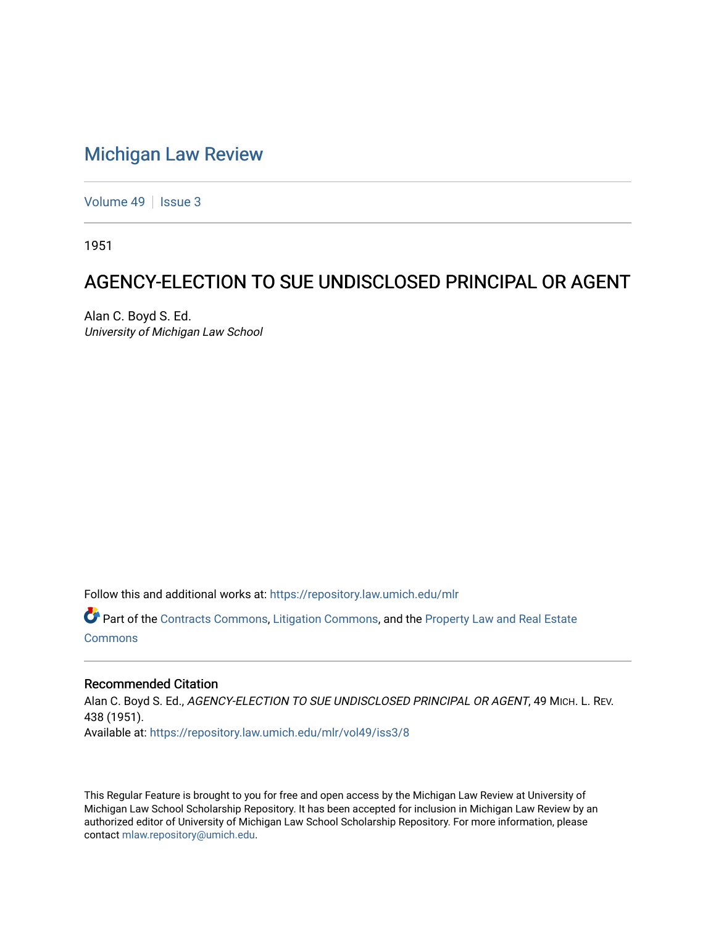## [Michigan Law Review](https://repository.law.umich.edu/mlr)

[Volume 49](https://repository.law.umich.edu/mlr/vol49) | [Issue 3](https://repository.law.umich.edu/mlr/vol49/iss3)

1951

## AGENCY-ELECTION TO SUE UNDISCLOSED PRINCIPAL OR AGENT

Alan C. Boyd S. Ed. University of Michigan Law School

Follow this and additional works at: [https://repository.law.umich.edu/mlr](https://repository.law.umich.edu/mlr?utm_source=repository.law.umich.edu%2Fmlr%2Fvol49%2Fiss3%2F8&utm_medium=PDF&utm_campaign=PDFCoverPages) 

Part of the [Contracts Commons](http://network.bepress.com/hgg/discipline/591?utm_source=repository.law.umich.edu%2Fmlr%2Fvol49%2Fiss3%2F8&utm_medium=PDF&utm_campaign=PDFCoverPages), [Litigation Commons,](http://network.bepress.com/hgg/discipline/910?utm_source=repository.law.umich.edu%2Fmlr%2Fvol49%2Fiss3%2F8&utm_medium=PDF&utm_campaign=PDFCoverPages) and the [Property Law and Real Estate](http://network.bepress.com/hgg/discipline/897?utm_source=repository.law.umich.edu%2Fmlr%2Fvol49%2Fiss3%2F8&utm_medium=PDF&utm_campaign=PDFCoverPages)  [Commons](http://network.bepress.com/hgg/discipline/897?utm_source=repository.law.umich.edu%2Fmlr%2Fvol49%2Fiss3%2F8&utm_medium=PDF&utm_campaign=PDFCoverPages)

## Recommended Citation

Alan C. Boyd S. Ed., AGENCY-ELECTION TO SUE UNDISCLOSED PRINCIPAL OR AGENT, 49 MICH. L. REV. 438 (1951). Available at: [https://repository.law.umich.edu/mlr/vol49/iss3/8](https://repository.law.umich.edu/mlr/vol49/iss3/8?utm_source=repository.law.umich.edu%2Fmlr%2Fvol49%2Fiss3%2F8&utm_medium=PDF&utm_campaign=PDFCoverPages)

This Regular Feature is brought to you for free and open access by the Michigan Law Review at University of Michigan Law School Scholarship Repository. It has been accepted for inclusion in Michigan Law Review by an authorized editor of University of Michigan Law School Scholarship Repository. For more information, please contact [mlaw.repository@umich.edu](mailto:mlaw.repository@umich.edu).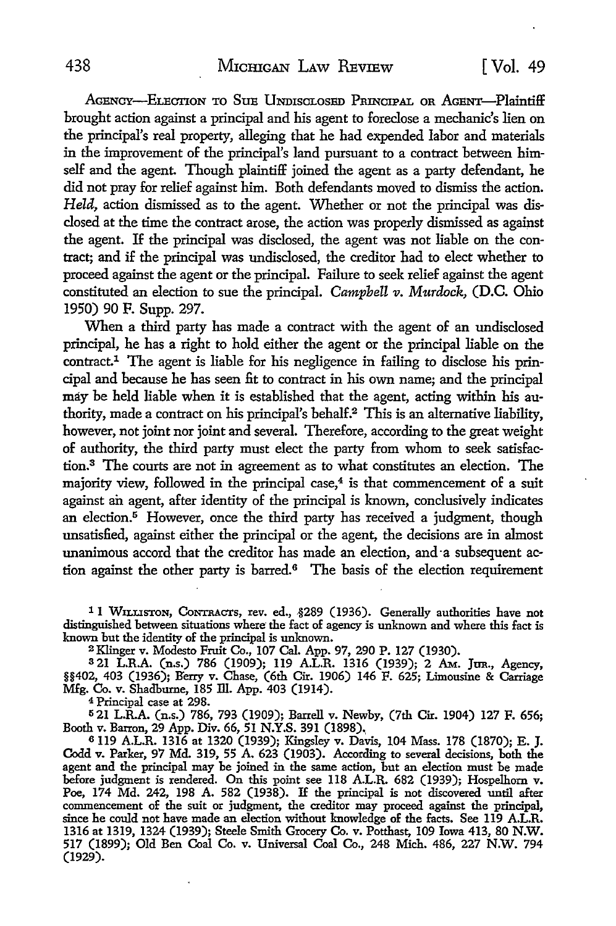AGENCY-ELECTION TO SUE UNDISCLOSED PRINCIPAL OR AGENT-Plaintiff brought action against a principal and his agent to foreclose a mechanic's lien on the principal's real property, alleging that he had expended labor and materials in the improvement of the principal's land pursuant to a contract between himself and the agent. Though plaintiff joined the agent as a party defendant, he did not pray for relief against him. Both defendants moved to dismiss the action. *Held,* action dismissed as to the agent. Whether or not the principal was disclosed at the time the contract arose, the action was properly dismissed as against the agent. If the principal was disclosed, the agent was not liable on the contract; and if the principal was undisclosed, the creditor had to elect whether to proceed against the agent or the principal. Failure to seek relief against the agent constituted an election to sue the principal. *Campbell v. Murdock*, (D.C. Ohio 1950) 90 F. Supp. 297.

When a third party has made a contract with the agent of an undisclosed principal, he has a right to hold either the agent or the principal liable on the  $contract<sup>1</sup>$ . The agent is liable for his negligence in failing to disclose his principal and because he has seen fit to contract in his own name; and the principal may be held liable when it is established that the agent, acting within his authority, made a contract on his principal's behalf.<sup>2</sup>This is an alternative liability, however, not joint nor joint and several. Therefore, according to the great weight of authority, the third party must elect the party from whom to seek satisfaction.3 The courts are not in agreement as to what constitutes an election. The majority view, followed in the principal case,<sup>4</sup> is that commencement of a suit against an agent, after identity of the principal is known, conclusively indicates an election.<sup>5</sup> However, once the third party has received a judgment, though unsatisfied, against either the principal or the agent, the decisions are in almost unanimous accord that the creditor has made an election, and ·a subsequent action against the other party is barred.<sup>6</sup> The basis of the election requirement

<sup>1</sup> 1 WILLISTON, CONTRACTS, rev. ed., §289 (1936). Generally authorities have not distinguished between situations where the fact of agency is unknown and where this fact is known but the identity of the principal is unknown.

2 Klinger v. Modesto Fruit Co., 107 Cal. App. 97, 290 P. 127 (1930).

<sup>3</sup>21 L.R.A. (n.s.) 786 (1909); 119 A.L.R. 1316 (1939); 2 AM,. Jan., Agency, §§402, 403 (1936); B'erry v. Chase, (6th Cir. 1906) 146 F. 625; Limousine & Carriage Mfg. Co. v. Shadburne, 185 lli. App. 403 (1914).

<sup>4</sup>Principal case at 298.

<sup>5</sup>21 L.R.A. (n.s.) 786, 793 (1909); Barrell v. Newby, (7th Cir. 1904) 127 F. 656; Booth v. Barron, 29 App. Div. 66, 51 N.Y.S. 391 (1898).,

<sup>6</sup>119 A.L.R. 1316 at 1320 (1939); Kingsley v. Davis, 104 Mass. 178 (1870); E. J. Codd v. Parker, 97 Md. 319, 55 A. 623 (1903). According to several decisions, both the agent and the principal may be joined in the same action, but an election must be made before judgment is rendered. On this point see 118 A.L.R. 682 (1939); Hospelhorn v. Poe, 174 Md. 242, 198 A. 582 (1938). If the principal is not discovered until after commencement of the suit or judgment, the creditor may proceed against the principal, since he could not have made an election without knowledge of the facts. See 119 A.L.R. 1316 at 1319, 1324 (1939); Steele Smith Grocery Co. v. Potthast, 109 Iowa 413, 80 N.W. 517 (1899); Old Ben Coal Co. v. Universal Coal Co., 248 Mich. 486, 227 N.W. 794 (1929).